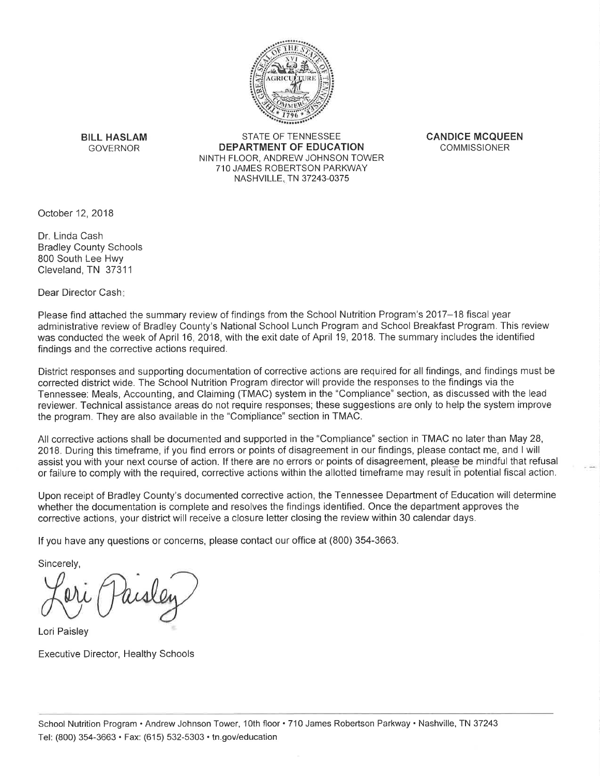

**BILL HASLAM GOVERNOR** 

STATE OF TENNESSEE DEPARTMENT OF EDUCATION NINTH FLOOR, ANDREW JOHNSON TOWER 710 JAMES ROBERTSON PARKWAY NASHVILLE, TN 37243-0375

**CANDICE MCQUEEN COMMISSIONER** 

October 12, 2018

Dr. Linda Cash **Bradley County Schools** 800 South Lee Hwy Cleveland, TN 37311

Dear Director Cash:

Please find attached the summary review of findings from the School Nutrition Program's 2017–18 fiscal year administrative review of Bradlev County's National School Lunch Program and School Breakfast Program. This review was conducted the week of April 16, 2018, with the exit date of April 19, 2018. The summary includes the identified findings and the corrective actions required.

District responses and supporting documentation of corrective actions are required for all findings, and findings must be corrected district wide. The School Nutrition Program director will provide the responses to the findings via the Tennessee: Meals, Accounting, and Claiming (TMAC) system in the "Compliance" section, as discussed with the lead reviewer. Technical assistance areas do not require responses; these suggestions are only to help the system improve the program. They are also available in the "Compliance" section in TMAC.

All corrective actions shall be documented and supported in the "Compliance" section in TMAC no later than May 28, 2018. During this timeframe, if you find errors or points of disagreement in our findings, please contact me, and I will assist you with your next course of action. If there are no errors or points of disagreement, please be mindful that refusal or failure to comply with the required, corrective actions within the allotted timeframe may result in potential fiscal action.

Upon receipt of Bradley County's documented corrective action, the Tennessee Department of Education will determine whether the documentation is complete and resolves the findings identified. Once the department approves the corrective actions, your district will receive a closure letter closing the review within 30 calendar days.

If you have any questions or concerns, please contact our office at (800) 354-3663.

Sincerely,

Lori Paisley

**Executive Director, Healthy Schools**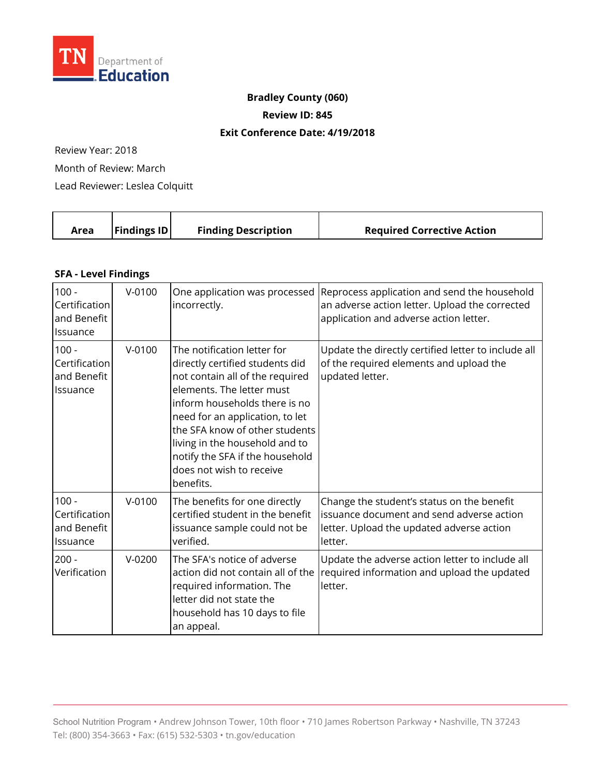

## **Bradley County (060)**

**Review ID: 845** 

## **Exit Conference Date: 4/19/2018**

Review Year: 2018

Month of Review: March

Lead Reviewer: Leslea Colquitt

| Area | <b>Findings ID</b> | <b>Finding Description</b> | <b>Required Corrective Action</b> |
|------|--------------------|----------------------------|-----------------------------------|
|      |                    |                            |                                   |

## **SFA - Level Findings**

| $100 -$<br>Certification<br>and Benefit<br>Issuance | $V - 0100$ | One application was processed<br>incorrectly.                                                                                                                                                                                                                                                                                                      | Reprocess application and send the household<br>an adverse action letter. Upload the corrected<br>application and adverse action letter.        |
|-----------------------------------------------------|------------|----------------------------------------------------------------------------------------------------------------------------------------------------------------------------------------------------------------------------------------------------------------------------------------------------------------------------------------------------|-------------------------------------------------------------------------------------------------------------------------------------------------|
| $100 -$<br>Certification<br>and Benefit<br>Issuance | $V - 0100$ | The notification letter for<br>directly certified students did<br>not contain all of the required<br>elements. The letter must<br>inform households there is no<br>need for an application, to let<br>the SFA know of other students<br>living in the household and to<br>notify the SFA if the household<br>does not wish to receive<br>benefits. | Update the directly certified letter to include all<br>of the required elements and upload the<br>updated letter.                               |
| $100 -$<br>Certification<br>and Benefit<br>Issuance | $V - 0100$ | The benefits for one directly<br>certified student in the benefit<br>issuance sample could not be<br>verified.                                                                                                                                                                                                                                     | Change the student's status on the benefit<br>issuance document and send adverse action<br>letter. Upload the updated adverse action<br>letter. |
| $200 -$<br>Verification                             | $V-0200$   | The SFA's notice of adverse<br>action did not contain all of the<br>required information. The<br>letter did not state the<br>household has 10 days to file<br>an appeal.                                                                                                                                                                           | Update the adverse action letter to include all<br>required information and upload the updated<br>letter.                                       |